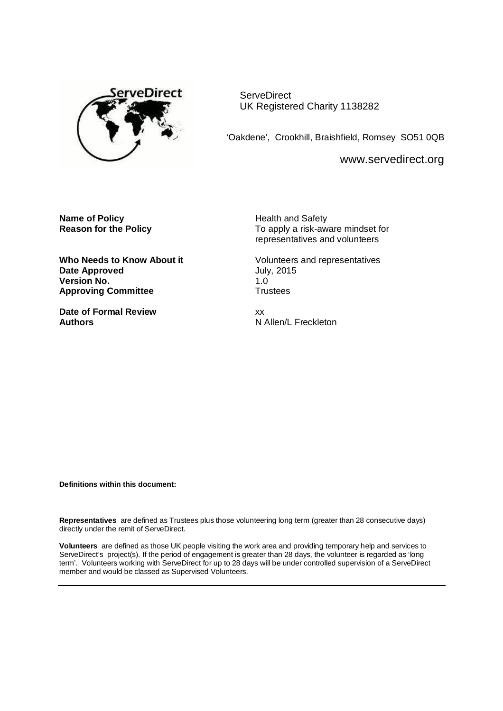

**ServeDirect** UK Registered Charity 1138282

'Oakdene', Crookhill, Braishfield, Romsey SO51 0QB

[www.servedirect.org](http://www.servedirect.org)

**Name of Policy**<br> **Reason for the Policy**<br> **Health and Safety**<br> **Health and Safety**<br> **Health and Safety**<br> **Health and Safety** 

**Date Approved July, 2015 Version No. 1.0**<br> **Approving Committee 1.0**<br> **COMPLICE: Approving Committee** 

**Date of Formal Review** xx **Authors N** Allen/L Freckleton

**Reason for the Policy** To apply a risk-aware mindset for representatives and volunteers

Who Needs to Know About it **Volunteers** and representatives

**Definitions within this document:**

**Representatives** are defined as Trustees plus those volunteering long term (greater than 28 consecutive days) directly under the remit of ServeDirect.

**Volunteers** are defined as those UK people visiting the work area and providing temporary help and services to ServeDirect's project(s). If the period of engagement is greater than 28 days, the volunteer is regarded as 'long term'. Volunteers working with ServeDirect for up to 28 days will be under controlled supervision of a ServeDirect member and would be classed as Supervised Volunteers.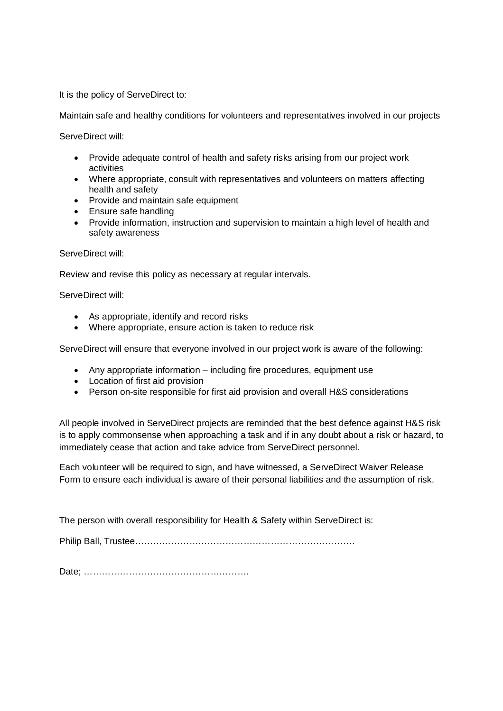It is the policy of ServeDirect to:

Maintain safe and healthy conditions for volunteers and representatives involved in our projects

ServeDirect will:

- Provide adequate control of health and safety risks arising from our project work activities
- Where appropriate, consult with representatives and volunteers on matters affecting health and safety
- Provide and maintain safe equipment
- Ensure safe handling
- Provide information, instruction and supervision to maintain a high level of health and safety awareness

## ServeDirect will:

Review and revise this policy as necessary at regular intervals.

ServeDirect will:

- As appropriate, identify and record risks
- Where appropriate, ensure action is taken to reduce risk

ServeDirect will ensure that everyone involved in our project work is aware of the following:

- Any appropriate information including fire procedures, equipment use
- Location of first aid provision
- Person on-site responsible for first aid provision and overall H&S considerations

All people involved in ServeDirect projects are reminded that the best defence against H&S risk is to apply commonsense when approaching a task and if in any doubt about a risk or hazard, to immediately cease that action and take advice from ServeDirect personnel.

Each volunteer will be required to sign, and have witnessed, a ServeDirect Waiver Release Form to ensure each individual is aware of their personal liabilities and the assumption of risk.

The person with overall responsibility for Health & Safety within ServeDirect is:

Philip Ball, Trustee……………………………………………………………….

Date; ……………………………………………….